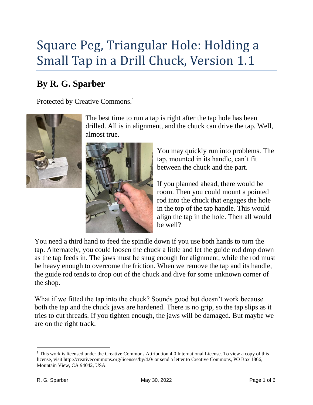## Square Peg, Triangular Hole: Holding a Small Tap in a Drill Chuck, Version 1.1

## **By R. G. Sparber**

Protected by Creative Commons.<sup>1</sup>



The best time to run a tap is right after the tap hole has been drilled. All is in alignment, and the chuck can drive the tap. Well, almost true.



You may quickly run into problems. The tap, mounted in its handle, can't fit between the chuck and the part.

If you planned ahead, there would be room. Then you could mount a pointed rod into the chuck that engages the hole in the top of the tap handle. This would align the tap in the hole. Then all would be well?

You need a third hand to feed the spindle down if you use both hands to turn the tap. Alternately, you could loosen the chuck a little and let the guide rod drop down as the tap feeds in. The jaws must be snug enough for alignment, while the rod must be heavy enough to overcome the friction. When we remove the tap and its handle, the guide rod tends to drop out of the chuck and dive for some unknown corner of the shop.

What if we fitted the tap into the chuck? Sounds good but doesn't work because both the tap and the chuck jaws are hardened. There is no grip, so the tap slips as it tries to cut threads. If you tighten enough, the jaws will be damaged. But maybe we are on the right track.

<sup>&</sup>lt;sup>1</sup> This work is licensed under the Creative Commons Attribution 4.0 International License. To view a copy of this license, visit http://creativecommons.org/licenses/by/4.0/ or send a letter to Creative Commons, PO Box 1866, Mountain View, CA 94042, USA.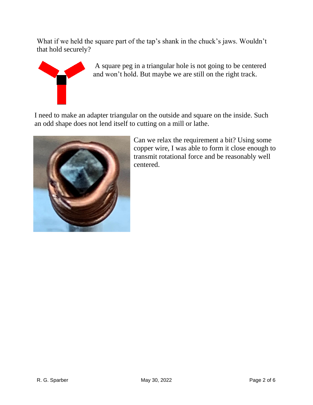What if we held the square part of the tap's shank in the chuck's jaws. Wouldn't that hold securely?



A square peg in a triangular hole is not going to be centered and won't hold. But maybe we are still on the right track.

I need to make an adapter triangular on the outside and square on the inside. Such an odd shape does not lend itself to cutting on a mill or lathe.



Can we relax the requirement a bit? Using some copper wire, I was able to form it close enough to transmit rotational force and be reasonably well centered.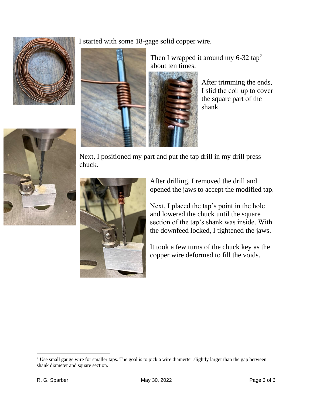

I started with some 18-gage solid copper wire.



After trimming the ends, I slid the coil up to cover the square part of the shank.



Next, I positioned my part and put the tap drill in my drill press chuck.



After drilling, I removed the drill and opened the jaws to accept the modified tap.

Next, I placed the tap's point in the hole and lowered the chuck until the square section of the tap's shank was inside. With the downfeed locked, I tightened the jaws.

It took a few turns of the chuck key as the copper wire deformed to fill the voids.

<sup>&</sup>lt;sup>2</sup> Use small gauge wire for smaller taps. The goal is to pick a wire diamerter slightly larger than the gap between shank diameter and square section.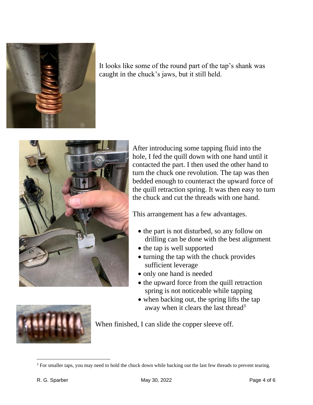

It looks like some of the round part of the tap's shank was caught in the chuck's jaws, but it still held.



After introducing some tapping fluid into the hole, I fed the quill down with one hand until it contacted the part. I then used the other hand to turn the chuck one revolution. The tap was then bedded enough to counteract the upward force of the quill retraction spring. It was then easy to turn the chuck and cut the threads with one hand.

This arrangement has a few advantages.

- the part is not disturbed, so any follow on drilling can be done with the best alignment
- the tap is well supported
- turning the tap with the chuck provides sufficient leverage
- only one hand is needed
- the upward force from the quill retraction spring is not noticeable while tapping
- when backing out, the spring lifts the tap away when it clears the last thread<sup>3</sup>



When finished, I can slide the copper sleeve off.

<sup>&</sup>lt;sup>3</sup> For smaller taps, you may need to hold the chuck down while backing out the last few threads to prevent tearing.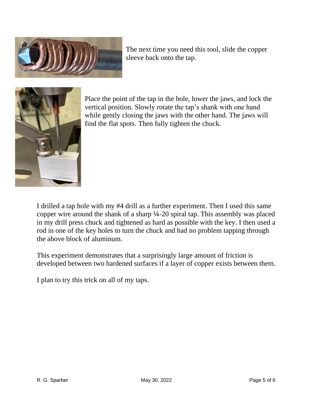

The next time you need this tool, slide the copper sleeve back onto the tap.



Place the point of the tap in the hole, lower the jaws, and lock the vertical position. Slowly rotate the tap's shank with one hand while gently closing the jaws with the other hand. The jaws will find the flat spots. Then fully tighten the chuck.

I drilled a tap hole with my #4 drill as a further experiment. Then I used this same copper wire around the shank of a sharp ¼-20 spiral tap. This assembly was placed in my drill press chuck and tightened as hard as possible with the key. I then used a rod in one of the key holes to turn the chuck and had no problem tapping through the above block of aluminum.

This experiment demonstrates that a surprisingly large amount of friction is developed between two hardened surfaces if a layer of copper exists between them.

I plan to try this trick on all of my taps.